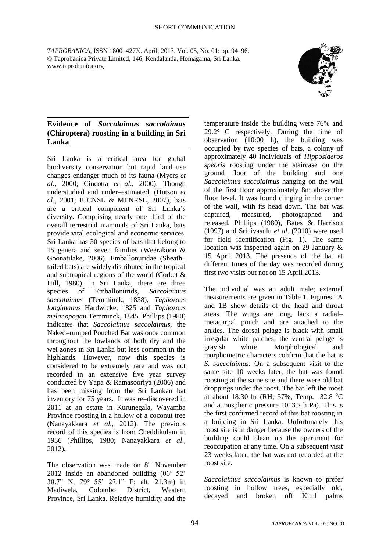*TAPROBANICA*, ISSN 1800–427X. April, 2013. Vol. 05, No. 01: pp. 94–96. © Taprobanica Private Limited, 146, Kendalanda, Homagama, Sri Lanka. www.taprobanica.org



## **Evidence of** *Saccolaimus saccolaimus* **(Chiroptera) roosting in a building in Sri Lanka**

Sri Lanka is a critical area for global biodiversity conservation but rapid land–use changes endanger much of its fauna (Myers *et al*., 2000; Cincotta *et al*., 2000). Though understudied and under–estimated, (Hutson *et al.,* 2001; IUCNSL & MENRSL, 2007), bats are a critical component of Sri Lanka's diversity. Comprising nearly one third of the overall terrestrial mammals of Sri Lanka, bats provide vital ecological and economic services. Sri Lanka has 30 species of bats that belong to 15 genera and seven families (Weerakoon & Goonatilake, 2006). Emballonuridae (Sheath– tailed bats) are widely distributed in the tropical and subtropical regions of the world (Corbet & Hill, 1980). In Sri Lanka, there are three species of Emballonurids, *Saccolaimus saccolaimus* (Temminck, 1838), *Taphozous longimanus* Hardwicke, 1825 and *Taphozous melanopogan* Temminck, 1845. Phillips (1980) indicates that *Saccolaimus saccolaimus,* the Naked–rumped Pouched Bat was once common throughout the lowlands of both dry and the wet zones in Sri Lanka but less common in the highlands. However, now this species is considered to be extremely rare and was not recorded in an extensive five year survey conducted by Yapa & Ratnasooriya (2006) and has been missing from the Sri Lankan bat inventory for 75 years. It was re–discovered in 2011 at an estate in Kurunegala, Wayamba Province roosting in a hollow of a coconut tree (Nanayakkara *et al.,* 2012). The previous record of this species is from Cheddikulam in 1936 (Phillips, 1980; Nanayakkara *et al*., 2012)**.**

The observation was made on  $8<sup>th</sup>$  November 2012 inside an abandoned building (06° 52' 30.7" N, 79° 55' 27.1" E; alt. 21.3m) in Madiwela, Colombo District, Western Province, Sri Lanka. Relative humidity and the temperature inside the building were 76% and 29.2° C respectively. During the time of observation (10:00 h), the building was occupied by two species of bats, a colony of approximately 40 individuals of *Hipposideros speoris* roosting under the staircase on the ground floor of the building and one *Saccolaimus saccolaimus* hanging on the wall of the first floor approximately 8m above the floor level. It was found clinging in the corner of the wall, with its head down. The bat was captured, measured, photographed and released. Phillips (1980), Bates & Harrison (1997) and Srinivasulu *et al*. (2010) were used for field identification (Fig. 1). The same location was inspected again on 29 January & 15 April 2013. The presence of the bat at different times of the day was recorded during first two visits but not on 15 April 2013.

The individual was an adult male; external measurements are given in Table 1. Figures 1A and 1B show details of the head and throat areas. The wings are long, lack a radial– metacarpal pouch and are attached to the ankles. The dorsal pelage is black with small irregular white patches; the ventral pelage is grayish white. Morphological and morphometric characters confirm that the bat is *S. saccolaimus.* On a subsequent visit to the same site 10 weeks later, the bat was found roosting at the same site and there were old bat droppings under the roost. The bat left the roost at about 18:30 hr (RH; 57%, Temp. 32.8  $^{\circ}$ C) and atmospheric pressure 1013.2 h Pa). This is the first confirmed record of this bat roosting in a building in Sri Lanka. Unfortunately this roost site is in danger because the owners of the building could clean up the apartment for reoccupation at any time. On a subsequent visit 23 weeks later, the bat was not recorded at the roost site.

*Saccolaimus saccolaimus* is known to prefer roosting in hollow trees, especially old, decayed and broken off Kitul palms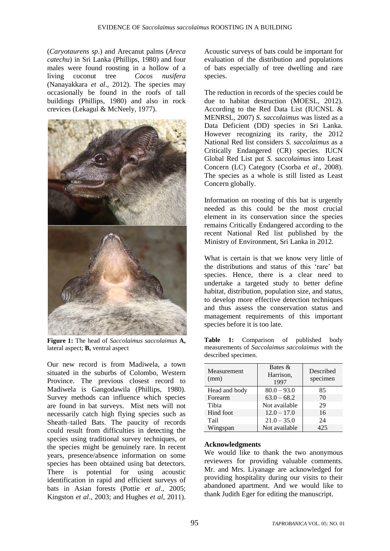(*Caryotaurens sp.*) and Arecanut palms (*Areca catechu*) in Sri Lanka (Phillips, 1980) and four males were found roosting in a hollow of a living coconut tree *Cocos nusifera* (Nanayakkara *et al*., 2012). The species may occasionally be found in the roofs of tall buildings (Phillips, 1980) and also in rock crevices (Lekagul & McNeely, 1977).



**Figure 1:** The head of *Saccolaimus saccolaimus* **A,**  lateral aspect; **B,** ventral aspect

Our new record is from Madiwela, a town situated in the suburbs of Colombo, Western Province. The previous closest record to Madiwela is Gangodawila (Phillips, 1980). Survey methods can influence which species are found in bat surveys. Mist nets will not necessarily catch high flying species such as Sheath–tailed Bats. The paucity of records could result from difficulties in detecting the species using traditional survey techniques, or the species might be genuinely rare. In recent years, presence/absence information on some species has been obtained using bat detectors. There is potential for using acoustic identification in rapid and efficient surveys of bats in Asian forests (Pottie *et al*., 2005; Kingston *et al*., 2003; and Hughes *et al*, 2011).

Acoustic surveys of bats could be important for evaluation of the distribution and populations of bats especially of tree dwelling and rare species.

The reduction in records of the species could be due to habitat destruction (MOESL, 2012). According to the Red Data List (IUCNSL & MENRSL, 2007) *S. saccolaimus* was listed as a Data Deficient (DD) species in Sri Lanka. However recognizing its rarity, the 2012 National Red list considers *S. saccolaimus* as a Critically Endangered (CR) species. IUCN Global Red List put *S. saccolaimus* into Least Concern (LC) Category (Csorba *et al*., 2008). The species as a whole is still listed as Least Concern globally.

Information on roosting of this bat is urgently needed as this could be the most crucial element in its conservation since the species remains Critically Endangered according to the recent National Red list published by the Ministry of Environment, Sri Lanka in 2012.

What is certain is that we know very little of the distributions and status of this 'rare' bat species. Hence, there is a clear need to undertake a targeted study to better define habitat, distribution, population size, and status, to develop more effective detection techniques and thus assess the conservation status and management requirements of this important species before it is too late.

**Table 1:** Comparison of published body measurements of *Saccolaimus saccolaimus* with the described specimen.

| Measurement<br>(mm) | Bates $\&$<br>Harrison,<br>1997 | Described<br>specimen |
|---------------------|---------------------------------|-----------------------|
| Head and body       | $80.0 - 93.0$                   | 85                    |
| Forearm             | $63.0 - 68.2$                   | 70                    |
| Tibia               | Not available                   | 29                    |
| Hind foot           | $12.0 - 17.0$                   | 16                    |
| Tail                | $21.0 - 35.0$                   | 24                    |
| Wingspan            | Not available                   | 425                   |

## **Acknowledgments**

We would like to thank the two anonymous reviewers for providing valuable comments. Mr. and Mrs. Liyanage are acknowledged for providing hospitality during our visits to their abandoned apartment. And we would like to thank Judith Eger for editing the manuscript.